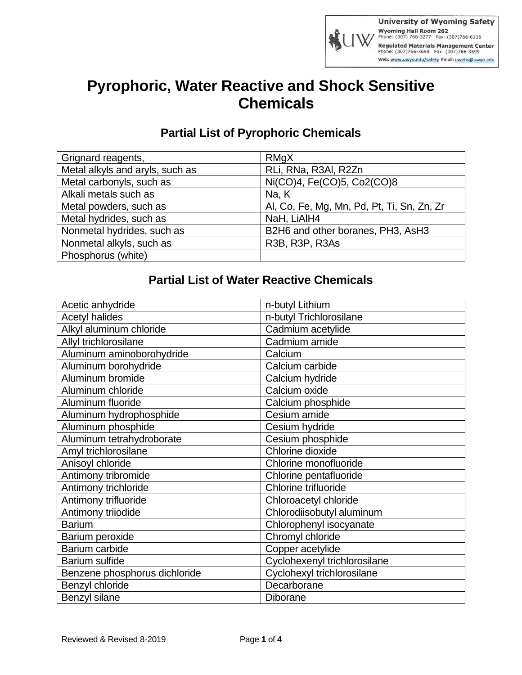

## **Pyrophoric, Water Reactive and Shock Sensitive Chemicals**

## **Partial List of Pyrophoric Chemicals**

| Grignard reagents,              | RMgX                                       |
|---------------------------------|--------------------------------------------|
| Metal alkyls and aryls, such as | RLi, RNa, R3AI, R2Zn                       |
| Metal carbonyls, such as        | Ni(CO)4, Fe(CO)5, Co2(CO)8                 |
| Alkali metals such as           | Na, K                                      |
| Metal powders, such as          | Al, Co, Fe, Mg, Mn, Pd, Pt, Ti, Sn, Zn, Zr |
| Metal hydrides, such as         | NaH, LiAIH4                                |
| Nonmetal hydrides, such as      | B2H6 and other boranes, PH3, AsH3          |
| Nonmetal alkyls, such as        | R3B, R3P, R3As                             |
| Phosphorus (white)              |                                            |

## **Partial List of Water Reactive Chemicals**

| Acetic anhydride              | n-butyl Lithium              |
|-------------------------------|------------------------------|
| <b>Acetyl halides</b>         | n-butyl Trichlorosilane      |
| Alkyl aluminum chloride       | Cadmium acetylide            |
| Allyl trichlorosilane         | Cadmium amide                |
| Aluminum aminoborohydride     | Calcium                      |
| Aluminum borohydride          | Calcium carbide              |
| Aluminum bromide              | Calcium hydride              |
| Aluminum chloride             | Calcium oxide                |
| Aluminum fluoride             | Calcium phosphide            |
| Aluminum hydrophosphide       | Cesium amide                 |
| Aluminum phosphide            | Cesium hydride               |
| Aluminum tetrahydroborate     | Cesium phosphide             |
| Amyl trichlorosilane          | Chlorine dioxide             |
| Anisoyl chloride              | Chlorine monofluoride        |
| Antimony tribromide           | Chlorine pentafluoride       |
| Antimony trichloride          | Chlorine trifluoride         |
| Antimony trifluoride          | Chloroacetyl chloride        |
| Antimony triiodide            | Chlorodiisobutyl aluminum    |
| <b>Barium</b>                 | Chlorophenyl isocyanate      |
| Barium peroxide               | Chromyl chloride             |
| Barium carbide                | Copper acetylide             |
| Barium sulfide                | Cyclohexenyl trichlorosilane |
| Benzene phosphorus dichloride | Cyclohexyl trichlorosilane   |
| Benzyl chloride               | Decarborane                  |
| Benzyl silane                 | <b>Diborane</b>              |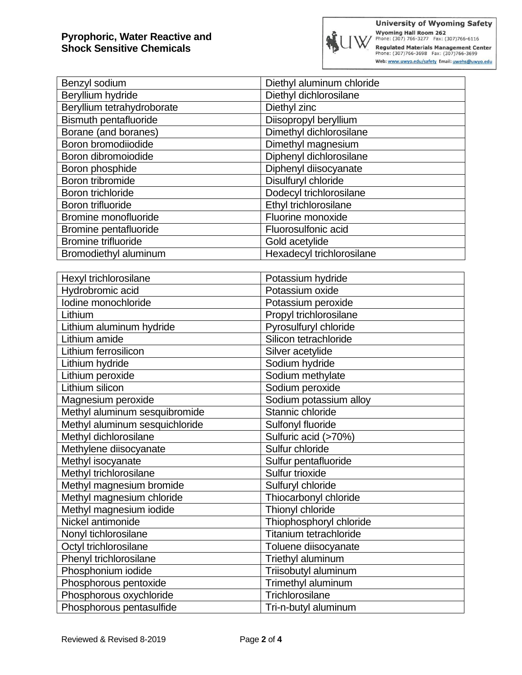| Benzyl sodium                | Diethyl aluminum chloride |
|------------------------------|---------------------------|
| Beryllium hydride            | Diethyl dichlorosilane    |
| Beryllium tetrahydroborate   | Diethyl zinc              |
| <b>Bismuth pentafluoride</b> | Diisopropyl beryllium     |
| Borane (and boranes)         | Dimethyl dichlorosilane   |
| Boron bromodiiodide          | Dimethyl magnesium        |
| Boron dibromoiodide          | Diphenyl dichlorosilane   |
| Boron phosphide              | Diphenyl diisocyanate     |
| Boron tribromide             | Disulfuryl chloride       |
| Boron trichloride            | Dodecyl trichlorosilane   |
| Boron trifluoride            | Ethyl trichlorosilane     |
| Bromine monofluoride         | Fluorine monoxide         |
| Bromine pentafluoride        | Fluorosulfonic acid       |
| Bromine trifluoride          | Gold acetylide            |
| Bromodiethyl aluminum        | Hexadecyl trichlorosilane |

| Hexyl trichlorosilane          | Potassium hydride       |
|--------------------------------|-------------------------|
| Hydrobromic acid               | Potassium oxide         |
| Iodine monochloride            | Potassium peroxide      |
| Lithium                        | Propyl trichlorosilane  |
| Lithium aluminum hydride       | Pyrosulfuryl chloride   |
| Lithium amide                  | Silicon tetrachloride   |
| Lithium ferrosilicon           | Silver acetylide        |
| Lithium hydride                | Sodium hydride          |
| Lithium peroxide               | Sodium methylate        |
| Lithium silicon                | Sodium peroxide         |
| Magnesium peroxide             | Sodium potassium alloy  |
| Methyl aluminum sesquibromide  | Stannic chloride        |
| Methyl aluminum sesquichloride | Sulfonyl fluoride       |
| Methyl dichlorosilane          | Sulfuric acid (>70%)    |
| Methylene diisocyanate         | Sulfur chloride         |
| Methyl isocyanate              | Sulfur pentafluoride    |
| Methyl trichlorosilane         | Sulfur trioxide         |
| Methyl magnesium bromide       | Sulfuryl chloride       |
| Methyl magnesium chloride      | Thiocarbonyl chloride   |
| Methyl magnesium iodide        | Thionyl chloride        |
| Nickel antimonide              | Thiophosphoryl chloride |
| Nonyl tichlorosilane           | Titanium tetrachloride  |
| Octyl trichlorosilane          | Toluene diisocyanate    |
| Phenyl trichlorosilane         | Triethyl aluminum       |
| Phosphonium iodide             | Triisobutyl aluminum    |
| Phosphorous pentoxide          | Trimethyl aluminum      |
| Phosphorous oxychloride        | Trichlorosilane         |
| Phosphorous pentasulfide       | Tri-n-butyl aluminum    |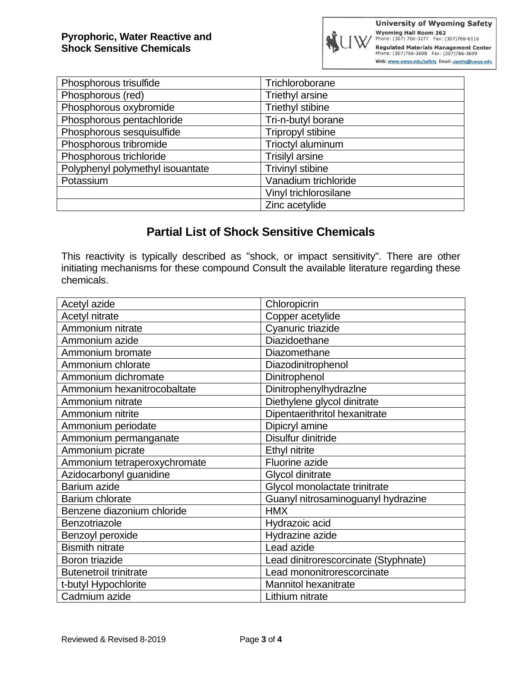| Phosphorous trisulfide           | Trichloroborane          |
|----------------------------------|--------------------------|
| Phosphorous (red)                | <b>Triethyl arsine</b>   |
| Phosphorous oxybromide           | <b>Triethyl stibine</b>  |
| Phosphorous pentachloride        | Tri-n-butyl borane       |
| Phosphorous sesquisulfide        | <b>Tripropyl stibine</b> |
| Phosphorous tribromide           | Trioctyl aluminum        |
| Phosphorous trichloride          | <b>Trisilyl arsine</b>   |
| Polyphenyl polymethyl isouantate | <b>Trivinyl stibine</b>  |
| Potassium                        | Vanadium trichloride     |
|                                  | Vinyl trichlorosilane    |
|                                  | Zinc acetylide           |

## **Partial List of Shock Sensitive Chemicals**

This reactivity is typically described as "shock, or impact sensitivity". There are other initiating mechanisms for these compound Consult the available literature regarding these chemicals.

| Acetyl azide                  | Chloropicrin                         |
|-------------------------------|--------------------------------------|
| Acetyl nitrate                | Copper acetylide                     |
| Ammonium nitrate              | Cyanuric triazide                    |
| Ammonium azide                | Diazidoethane                        |
| Ammonium bromate              | Diazomethane                         |
| Ammonium chlorate             | Diazodinitrophenol                   |
| Ammonium dichromate           | Dinitrophenol                        |
| Ammonium hexanitrocobaltate   | Dinitrophenylhydrazlne               |
| Ammonium nitrate              | Diethylene glycol dinitrate          |
| Ammonium nitrite              | Dipentaerithritol hexanitrate        |
| Ammonium periodate            | Dipicryl amine                       |
| Ammonium permanganate         | Disulfur dinitride                   |
| Ammonium picrate              | Ethyl nitrite                        |
| Ammonium tetraperoxychromate  | Fluorine azide                       |
| Azidocarbonyl guanidine       | Glycol dinitrate                     |
| Barium azide                  | Glycol monolactate trinitrate        |
| Barium chlorate               | Guanyl nitrosaminoguanyl hydrazine   |
| Benzene diazonium chloride    | <b>HMX</b>                           |
| Benzotriazole                 | Hydrazoic acid                       |
| Benzoyl peroxide              | Hydrazine azide                      |
| <b>Bismith nitrate</b>        | Lead azide                           |
| Boron triazide                | Lead dinitrorescorcinate (Styphnate) |
| <b>Butenetroil trinitrate</b> | Lead mononitrorescorcinate           |
| t-butyl Hypochlorite          | <b>Mannitol hexanitrate</b>          |
| Cadmium azide                 | Lithium nitrate                      |